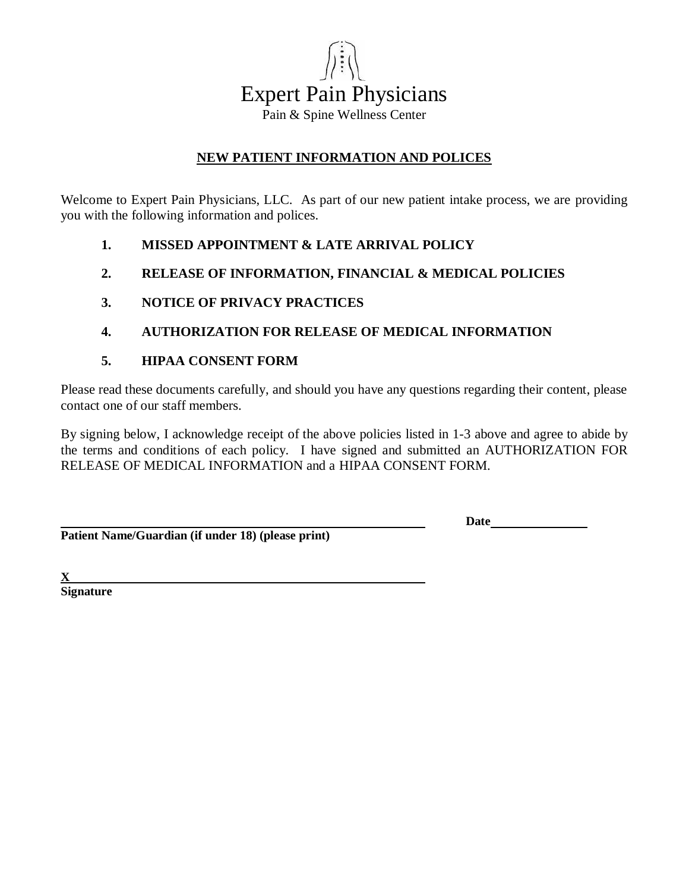

### **NEW PATIENT INFORMATION AND POLICES**

Welcome to Expert Pain Physicians, LLC. As part of our new patient intake process, we are providing you with the following information and polices.

- **1. MISSED APPOINTMENT & LATE ARRIVAL POLICY**
- **2. RELEASE OF INFORMATION, FINANCIAL & MEDICAL POLICIES**
- **3. NOTICE OF PRIVACY PRACTICES**
- **4. AUTHORIZATION FOR RELEASE OF MEDICAL INFORMATION**
- **5. HIPAA CONSENT FORM**

Please read these documents carefully, and should you have any questions regarding their content, please contact one of our staff members.

By signing below, I acknowledge receipt of the above policies listed in 1-3 above and agree to abide by the terms and conditions of each policy. I have signed and submitted an AUTHORIZATION FOR RELEASE OF MEDICAL INFORMATION and a HIPAA CONSENT FORM.

**Patient Name/Guardian (if under 18) (please print)**

**Date**

**X Signature**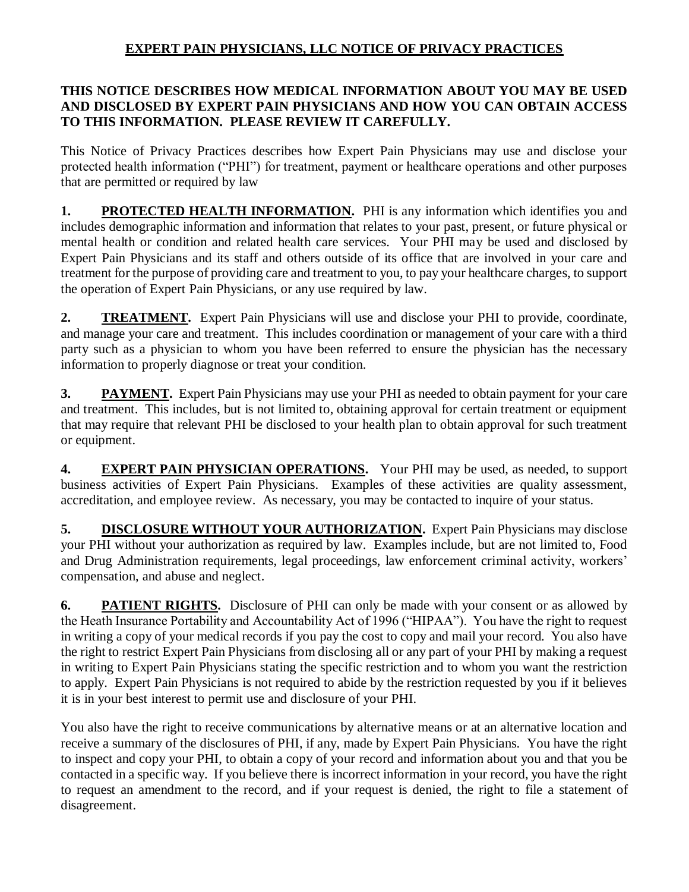# **EXPERT PAIN PHYSICIANS, LLC NOTICE OF PRIVACY PRACTICES**

## **THIS NOTICE DESCRIBES HOW MEDICAL INFORMATION ABOUT YOU MAY BE USED AND DISCLOSED BY EXPERT PAIN PHYSICIANS AND HOW YOU CAN OBTAIN ACCESS TO THIS INFORMATION. PLEASE REVIEW IT CAREFULLY.**

This Notice of Privacy Practices describes how Expert Pain Physicians may use and disclose your protected health information ("PHI") for treatment, payment or healthcare operations and other purposes that are permitted or required by law

**1. PROTECTED HEALTH INFORMATION.** PHI is any information which identifies you and includes demographic information and information that relates to your past, present, or future physical or mental health or condition and related health care services. Your PHI may be used and disclosed by Expert Pain Physicians and its staff and others outside of its office that are involved in your care and treatment for the purpose of providing care and treatment to you, to pay your healthcare charges, to support the operation of Expert Pain Physicians, or any use required by law.

2. **TREATMENT.** Expert Pain Physicians will use and disclose your PHI to provide, coordinate, and manage your care and treatment. This includes coordination or management of your care with a third party such as a physician to whom you have been referred to ensure the physician has the necessary information to properly diagnose or treat your condition.

**3. PAYMENT.** Expert Pain Physicians may use your PHI as needed to obtain payment for your care and treatment. This includes, but is not limited to, obtaining approval for certain treatment or equipment that may require that relevant PHI be disclosed to your health plan to obtain approval for such treatment or equipment.

**4. EXPERT PAIN PHYSICIAN OPERATIONS.** Your PHI may be used, as needed, to support business activities of Expert Pain Physicians. Examples of these activities are quality assessment, accreditation, and employee review. As necessary, you may be contacted to inquire of your status.

5. **DISCLOSURE WITHOUT YOUR AUTHORIZATION.** Expert Pain Physicians may disclose your PHI without your authorization as required by law. Examples include, but are not limited to, Food and Drug Administration requirements, legal proceedings, law enforcement criminal activity, workers' compensation, and abuse and neglect.

**6. PATIENT RIGHTS.** Disclosure of PHI can only be made with your consent or as allowed by the Heath Insurance Portability and Accountability Act of 1996 ("HIPAA"). You have the right to request in writing a copy of your medical records if you pay the cost to copy and mail your record. You also have the right to restrict Expert Pain Physicians from disclosing all or any part of your PHI by making a request in writing to Expert Pain Physicians stating the specific restriction and to whom you want the restriction to apply. Expert Pain Physicians is not required to abide by the restriction requested by you if it believes it is in your best interest to permit use and disclosure of your PHI.

You also have the right to receive communications by alternative means or at an alternative location and receive a summary of the disclosures of PHI, if any, made by Expert Pain Physicians. You have the right to inspect and copy your PHI, to obtain a copy of your record and information about you and that you be contacted in a specific way. If you believe there is incorrect information in your record, you have the right to request an amendment to the record, and if your request is denied, the right to file a statement of disagreement.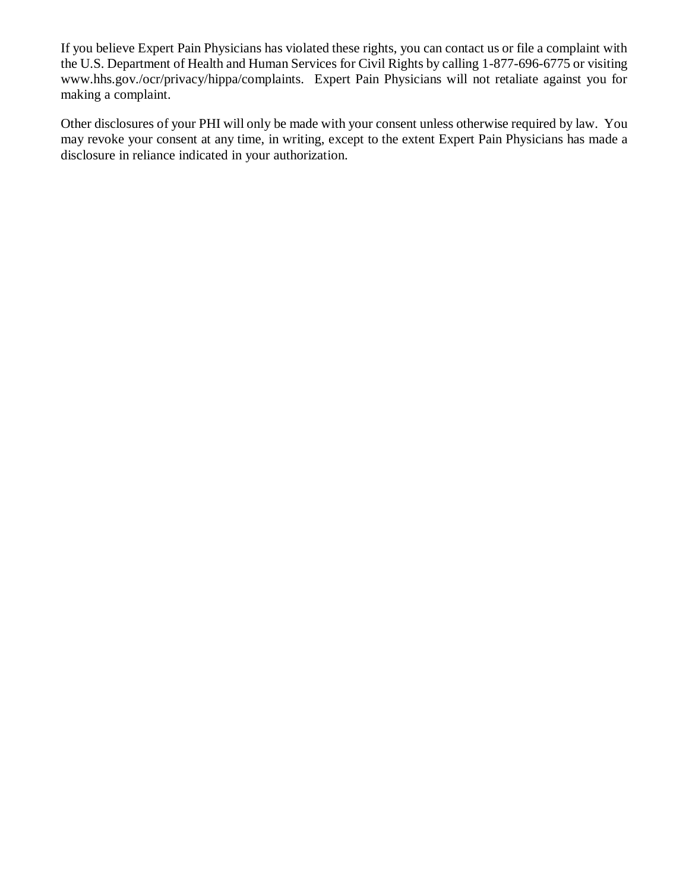If you believe Expert Pain Physicians has violated these rights, you can contact us or file a complaint with the U.S. Department of Health and Human Services for Civil Rights by calling 1-877-696-6775 or visiting www.hhs.gov./ocr/privacy/hippa/complaints. Expert Pain Physicians will not retaliate against you for making a complaint.

Other disclosures of your PHI will only be made with your consent unless otherwise required by law. You may revoke your consent at any time, in writing, except to the extent Expert Pain Physicians has made a disclosure in reliance indicated in your authorization.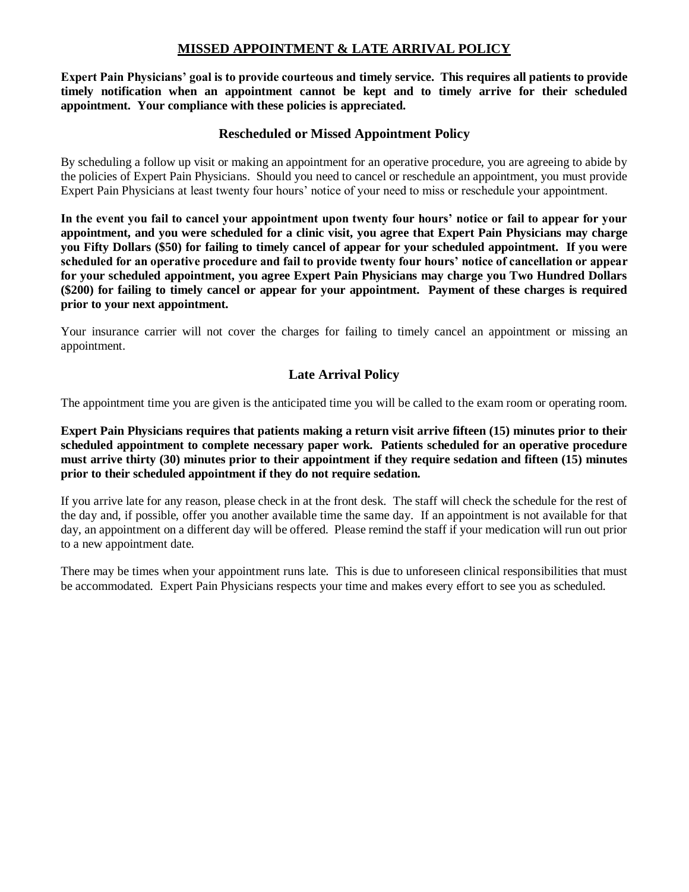### **MISSED APPOINTMENT & LATE ARRIVAL POLICY**

**Expert Pain Physicians' goal is to provide courteous and timely service. This requires all patients to provide timely notification when an appointment cannot be kept and to timely arrive for their scheduled appointment. Your compliance with these policies is appreciated.**

### **Rescheduled or Missed Appointment Policy**

By scheduling a follow up visit or making an appointment for an operative procedure, you are agreeing to abide by the policies of Expert Pain Physicians. Should you need to cancel or reschedule an appointment, you must provide Expert Pain Physicians at least twenty four hours' notice of your need to miss or reschedule your appointment.

**In the event you fail to cancel your appointment upon twenty four hours' notice or fail to appear for your appointment, and you were scheduled for a clinic visit, you agree that Expert Pain Physicians may charge you Fifty Dollars (\$50) for failing to timely cancel of appear for your scheduled appointment. If you were scheduled for an operative procedure and fail to provide twenty four hours' notice of cancellation or appear for your scheduled appointment, you agree Expert Pain Physicians may charge you Two Hundred Dollars (\$200) for failing to timely cancel or appear for your appointment. Payment of these charges is required prior to your next appointment.** 

Your insurance carrier will not cover the charges for failing to timely cancel an appointment or missing an appointment.

## **Late Arrival Policy**

The appointment time you are given is the anticipated time you will be called to the exam room or operating room.

**Expert Pain Physicians requires that patients making a return visit arrive fifteen (15) minutes prior to their scheduled appointment to complete necessary paper work. Patients scheduled for an operative procedure must arrive thirty (30) minutes prior to their appointment if they require sedation and fifteen (15) minutes prior to their scheduled appointment if they do not require sedation.**

If you arrive late for any reason, please check in at the front desk. The staff will check the schedule for the rest of the day and, if possible, offer you another available time the same day. If an appointment is not available for that day, an appointment on a different day will be offered. Please remind the staff if your medication will run out prior to a new appointment date.

There may be times when your appointment runs late. This is due to unforeseen clinical responsibilities that must be accommodated. Expert Pain Physicians respects your time and makes every effort to see you as scheduled.